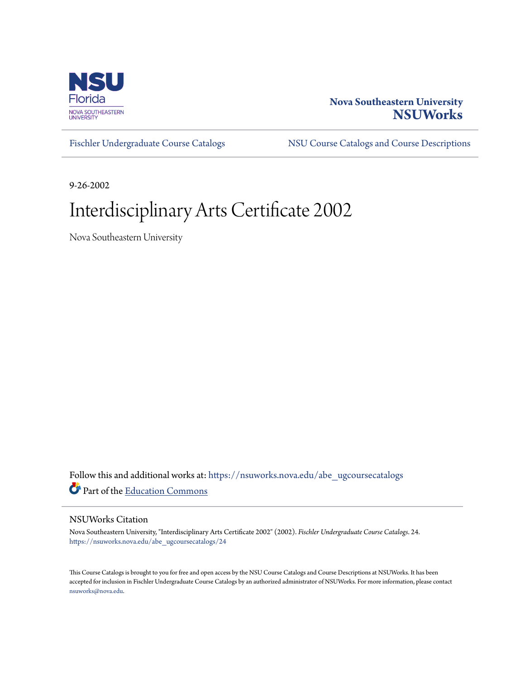

#### **Nova Southeastern University [NSUWorks](https://nsuworks.nova.edu?utm_source=nsuworks.nova.edu%2Fabe_ugcoursecatalogs%2F24&utm_medium=PDF&utm_campaign=PDFCoverPages)**

[Fischler Undergraduate Course Catalogs](https://nsuworks.nova.edu/abe_ugcoursecatalogs?utm_source=nsuworks.nova.edu%2Fabe_ugcoursecatalogs%2F24&utm_medium=PDF&utm_campaign=PDFCoverPages) [NSU Course Catalogs and Course Descriptions](https://nsuworks.nova.edu/nsu_catalogs?utm_source=nsuworks.nova.edu%2Fabe_ugcoursecatalogs%2F24&utm_medium=PDF&utm_campaign=PDFCoverPages)

9-26-2002

### Interdisciplinary Arts Certificate 2002

Nova Southeastern University

Follow this and additional works at: [https://nsuworks.nova.edu/abe\\_ugcoursecatalogs](https://nsuworks.nova.edu/abe_ugcoursecatalogs?utm_source=nsuworks.nova.edu%2Fabe_ugcoursecatalogs%2F24&utm_medium=PDF&utm_campaign=PDFCoverPages) Part of the [Education Commons](http://network.bepress.com/hgg/discipline/784?utm_source=nsuworks.nova.edu%2Fabe_ugcoursecatalogs%2F24&utm_medium=PDF&utm_campaign=PDFCoverPages)

#### NSUWorks Citation

Nova Southeastern University, "Interdisciplinary Arts Certificate 2002" (2002). *Fischler Undergraduate Course Catalogs*. 24. [https://nsuworks.nova.edu/abe\\_ugcoursecatalogs/24](https://nsuworks.nova.edu/abe_ugcoursecatalogs/24?utm_source=nsuworks.nova.edu%2Fabe_ugcoursecatalogs%2F24&utm_medium=PDF&utm_campaign=PDFCoverPages)

This Course Catalogs is brought to you for free and open access by the NSU Course Catalogs and Course Descriptions at NSUWorks. It has been accepted for inclusion in Fischler Undergraduate Course Catalogs by an authorized administrator of NSUWorks. For more information, please contact [nsuworks@nova.edu.](mailto:nsuworks@nova.edu)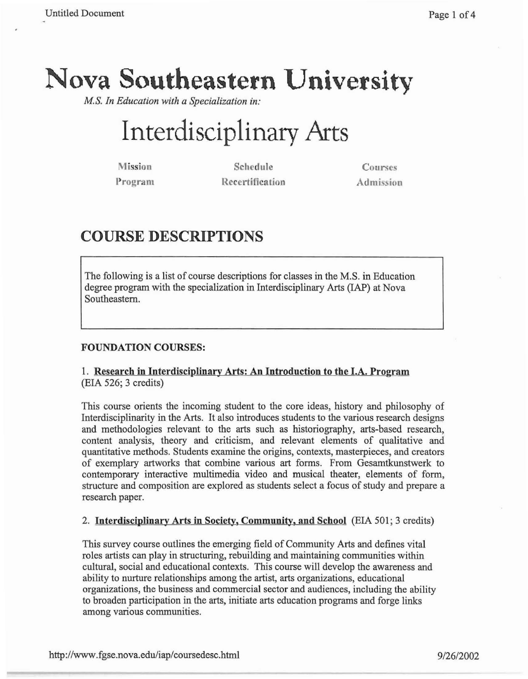## **Nova Southeastern University**

*M.S. In Education with a Specialization in:*

# **Interdisciplinary Arts**

Mission Program

Schedule Recertification

Courses Admission

### **COURSE DESCRIPTIONS**

The following is a list of course descriptions for classes in the M.S. in Education degree program with the specialization in Interdisciplinary Arts (lAP) at Nova Southeastern.

#### FOUNDATION COURSES:

#### 1. Research in Interdisciplinary Arts: An Introduction to the I.A. Program (EIA 526; 3 credits)

This course orients the incoming student to the core ideas, history and philosophy of Interdisciplinarity in the Arts. It also introduces students to the various research designs and methodologies relevant to the arts such as historiography, arts-based research, content analysis, theory and criticism, and relevant elements of qualitative and quantitative methods. Students examine the origins, contexts, masterpieces, and creators of exemplary artworks that combine various art forms. From Gesamtkunstwerk to contemporary interactive multimedia video and musical theater, elements of form, structure and composition are explored as students select a focus of study and prepare a research paper.

#### 2. Interdisciplinary Arts in Society, Community, and School (EIA 501; 3 credits)

This survey course outlines the emerging field of Community Arts and defines vital roles artists can play in structuring, rebuilding and maintaining communities within cultural, social and educational contexts. This course will develop the awareness and ability to nurture relationships among the artist, arts organizations, educational organizations, the business and commercial sector and audiences, including the ability to broaden participation in the arts, initiate arts education programs and forge links among various communities.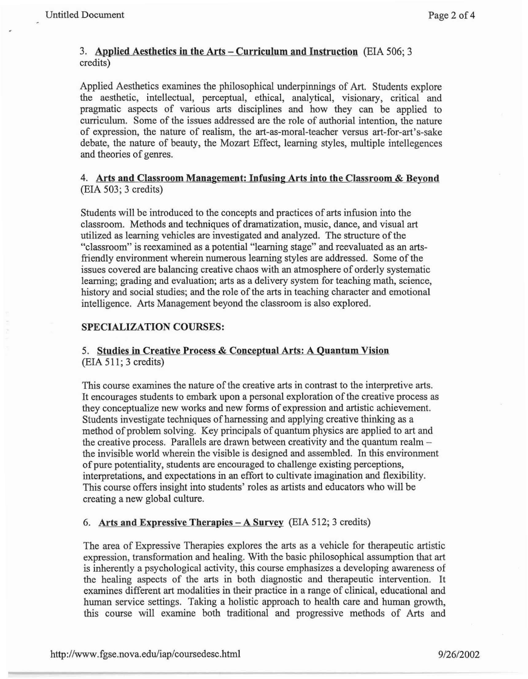#### 3. Applied Aesthetics in the Arts - Curriculum and Instruction (EIA 506; 3) credits)

Applied Aesthetics examines the philosophical underpinnings of Art. Students explore the aesthetic, intellectual, perceptual, ethical, analytical, visionary, critical and pragmatic aspects of various arts disciplines and how they can be applied to curriculum. Some of the issues addressed are the role of authorial intention, the nature of expression, the nature of realism, the art-as-moral-teacher versus art-for-art's-sake debate, the nature of beauty, the Mozart Effect, learning styles, multiple intellegences and theories of genres.

#### 4. Arts and Classroom Management: Infusing Arts into the Classroom & Beyond (EIA 503; 3 credits)

Students will be introduced to the concepts and practices of arts infusion into the classroom. Methods and techniques of dramatization, music, dance, and visual art utilized as learning vehicles are investigated and analyzed. The structure of the "classroom" is reexamined as a potential "learning stage" and reevaluated as an artsfriendly environment wherein numerous learning styles are addressed. Some of the issues covered are balancing creative chaos with an atmosphere of orderly systematic learning; grading and evaluation; arts as a delivery system for teaching math, science, history and social studies; and the role of the arts in teaching character and emotional intelligence. Arts Management beyond the classroom is also explored.

#### SPECIALIZATION COURSES:

#### 5. Studies in Creative Process & Conceptual Arts: A Quantum Vision (EIA 511; 3 credits)

This course examines the nature of the creative arts in contrast to the interpretive arts. It encourages students to embark upon a personal exploration of the creative process as they conceptualize new works and new forms of expression and artistic achievement. Students investigate techniques of harnessing and applying creative thinking as a method of problem solving. Key principals of quantum physics are applied to art and the creative process. Parallels are drawn between creativity and the quantum realmthe invisible world wherein the visible is designed and assembled. In this environment of pure potentiality, students are encouraged to challenge existing perceptions, interpretations, and expectations in an effort to cultivate imagination and flexibility. This course offers insight into students' roles as artists and educators who will be creating a new global culture.

#### 6. Arts and Expressive Therapies  $-A$  Survey (EIA 512; 3 credits)

The area of Expressive Therapies explores the arts as a vehicle for therapeutic artistic expression, transformation and healing. With the basic philosophical assumption that art is inherently a psychological activity, this course emphasizes a developing awareness of the healing aspects of the arts in both diagnostic and therapeutic intervention. It examines different art modalities in their practice in a range of clinical, educational and human service settings. Taking a holistic approach to health care and human growth, this course will examine both traditional and progressive methods of Arts and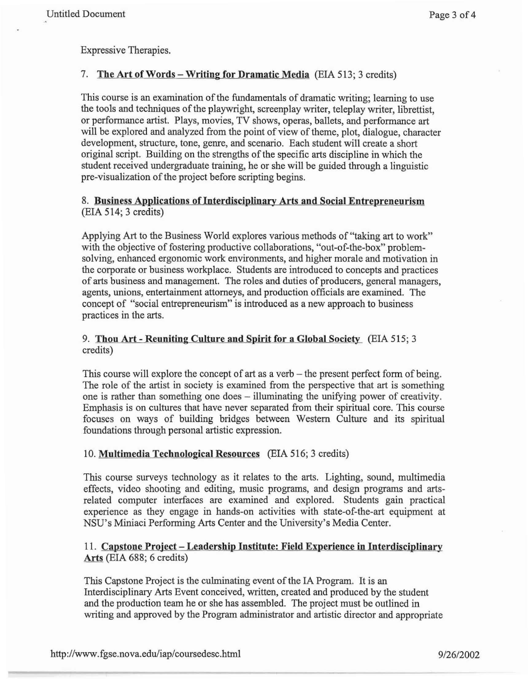Expressive Therapies.

#### 7. The Art of Words – Writing for Dramatic Media (EIA 513; 3 credits)

This course is an examination of the fundamentals of dramatic writing; learning to use the tools and techniques of the playwright, screenplay writer, teleplay writer, librettist, or performance artist. Plays, movies, TV shows, operas, ballets, and performance art will be explored and analyzed from the point of view of theme, plot, dialogue, character development, structure, tone, genre, and scenario. Each student will create a short original script. Building on the strengths of the specific arts discipline in which the student received undergraduate training, he or she will be guided through a linguistic pre-visualization of the project before scripting begins.

#### 8. Business Applications oflnterdisciplinary Arts and Social Entrepreneurism (EIA 514; 3 credits)

Applying Art to the Business World explores various methods of "taking art to work" with the objective of fostering productive collaborations, "out-of-the-box" problemsolving, enhanced ergonomic work environments, and higher morale and motivation in the corporate or business workplace. Students are introduced to concepts and practices of arts business and management. The roles and duties of producers, general managers, agents, unions, entertainment attorneys, and production officials are examined. The concept of "social entrepreneurism" is introduced as a new approach to business practices in the arts.

#### 9. Thou Art - Reuniting Culture and Spirit for a Global Society (EIA 515; 3 credits)

This course will explore the concept of art as a verb – the present perfect form of being. The role of the artist in society is examined from the perspective that art is something one is rather than something one does - illuminating the unifying power of creativity. Emphasis is on cultures that have never separated from their spiritual core. This course focuses on ways of building bridges between Western Culture and its spiritual foundations through personal artistic expression.

#### 10. Multimedia Technological Resources (EIA 516; 3 credits)

This course surveys technology as it relates to the arts. Lighting, sound, multimedia effects, video shooting and editing, music programs, and design programs and artsrelated computer interfaces are examined and explored. Students gain practical experience as they engage in hands-on activities with state-of-the-art equipment at NSU's Miniaci Performing Arts Center and the University's Media Center.

#### 11. Capstone Project – Leadership Institute: Field Experience in Interdisciplinary Arts (EIA 688; 6 credits)

This Capstone Project is the culminating event of the IA Program. It is an Interdisciplinary Arts Event conceived, written, created and produced by the student and the production team he or she has assembled. The project must be outlined in writing and approved by the Program administrator and artistic director and appropriate